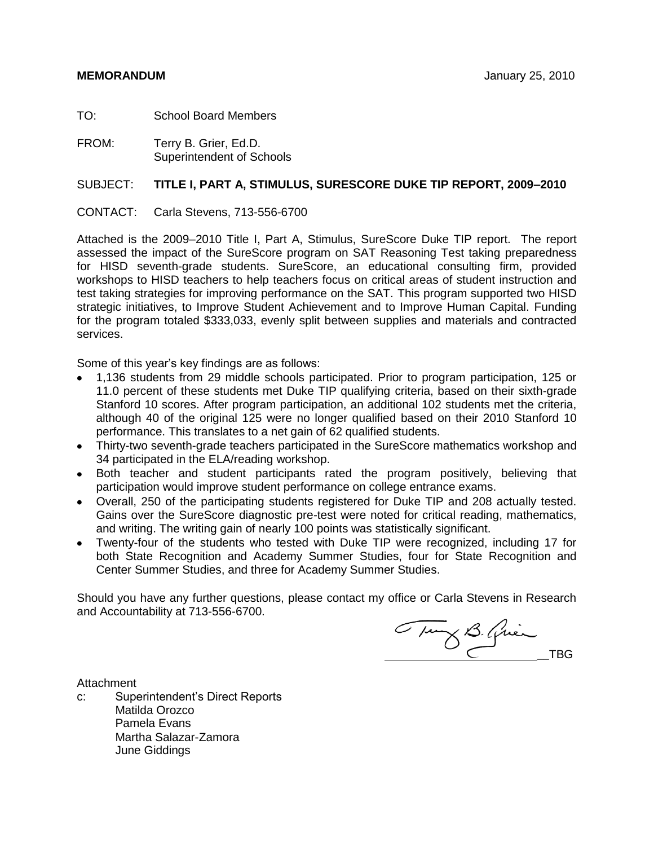TO: School Board Members

FROM: Terry B. Grier, Ed.D. Superintendent of Schools

# SUBJECT: **TITLE I, PART A, STIMULUS, SURESCORE DUKE TIP REPORT, 2009–2010**

CONTACT: Carla Stevens, 713-556-6700

Attached is the 2009–2010 Title I, Part A, Stimulus, SureScore Duke TIP report. The report assessed the impact of the SureScore program on SAT Reasoning Test taking preparedness for HISD seventh-grade students. SureScore, an educational consulting firm, provided workshops to HISD teachers to help teachers focus on critical areas of student instruction and test taking strategies for improving performance on the SAT. This program supported two HISD strategic initiatives, to Improve Student Achievement and to Improve Human Capital. Funding for the program totaled \$333,033, evenly split between supplies and materials and contracted services.

Some of this year's key findings are as follows:

- 1,136 students from 29 middle schools participated. Prior to program participation, 125 or 11.0 percent of these students met Duke TIP qualifying criteria, based on their sixth-grade Stanford 10 scores. After program participation, an additional 102 students met the criteria, although 40 of the original 125 were no longer qualified based on their 2010 Stanford 10 performance. This translates to a net gain of 62 qualified students.
- Thirty-two seventh-grade teachers participated in the SureScore mathematics workshop and 34 participated in the ELA/reading workshop.
- Both teacher and student participants rated the program positively, believing that participation would improve student performance on college entrance exams.
- Overall, 250 of the participating students registered for Duke TIP and 208 actually tested. Gains over the SureScore diagnostic pre-test were noted for critical reading, mathematics, and writing. The writing gain of nearly 100 points was statistically significant.
- Twenty-four of the students who tested with Duke TIP were recognized, including 17 for both State Recognition and Academy Summer Studies, four for State Recognition and Center Summer Studies, and three for Academy Summer Studies.

Should you have any further questions, please contact my office or Carla Stevens in Research and Accountability at 713-556-6700.

Tung B. Grien

**Attachment** 

c: Superintendent's Direct Reports Matilda Orozco Pamela Evans Martha Salazar-Zamora June Giddings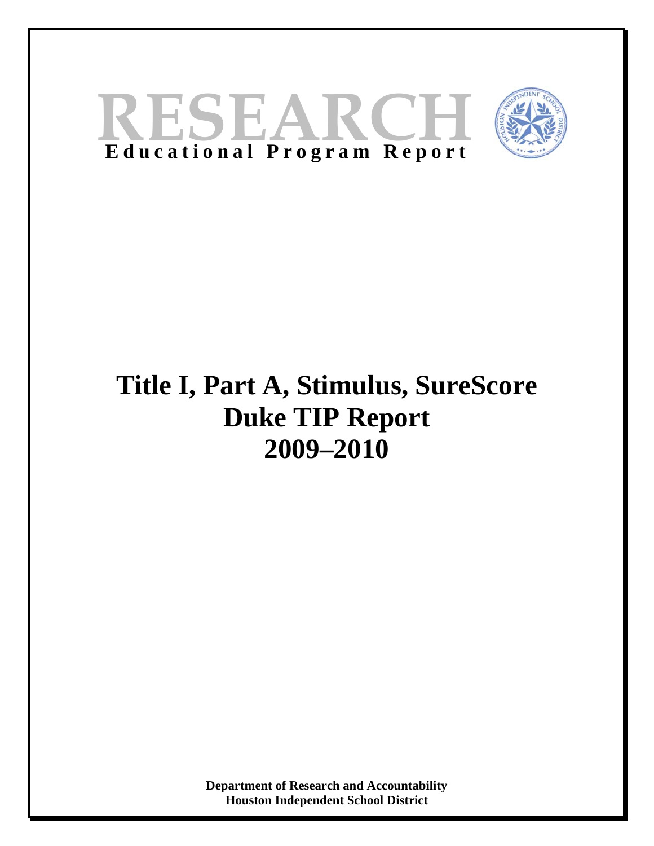



# **Title I, Part A, Stimulus, SureScore Duke TIP Report 2009–2010**

**Department of Research and Accountability Houston Independent School District**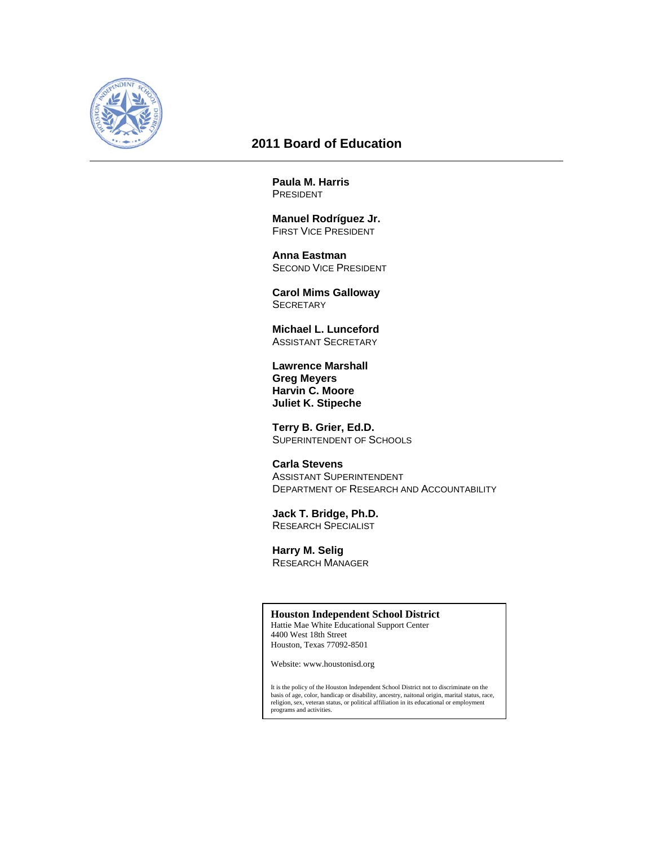

# **2011 Board of Education**

**Paula M. Harris**  PRESIDENT

 **Manuel Rodríguez Jr.**  FIRST VICE PRESIDENT

 **Anna Eastman**  SECOND VICE PRESIDENT

 **Carol Mims Galloway SECRETARY** 

 **Michael L. Lunceford**  ASSISTANT SECRETARY

 **Lawrence Marshall Greg Meyers Harvin C. Moore Juliet K. Stipeche** 

 **Terry B. Grier, Ed.D.**  SUPERINTENDENT OF SCHOOLS

 **Carla Stevens**  ASSISTANT SUPERINTENDENT DEPARTMENT OF RESEARCH AND ACCOUNTABILITY

 **Jack T. Bridge, Ph.D.**  RESEARCH SPECIALIST

 **Harry M. Selig**  RESEARCH MANAGER

#### **Houston Independent School District**

Hattie Mae White Educational Support Center 4400 West 18th Street Houston, Texas 77092-8501

Website: www.houstonisd.org

It is the policy of the Houston Independent School District not to discriminate on the<br>basis of age, color, handicap or disability, ancestry, naitonal origin, marital status, race,<br>religion, sex, veteran status, or politic programs and activities.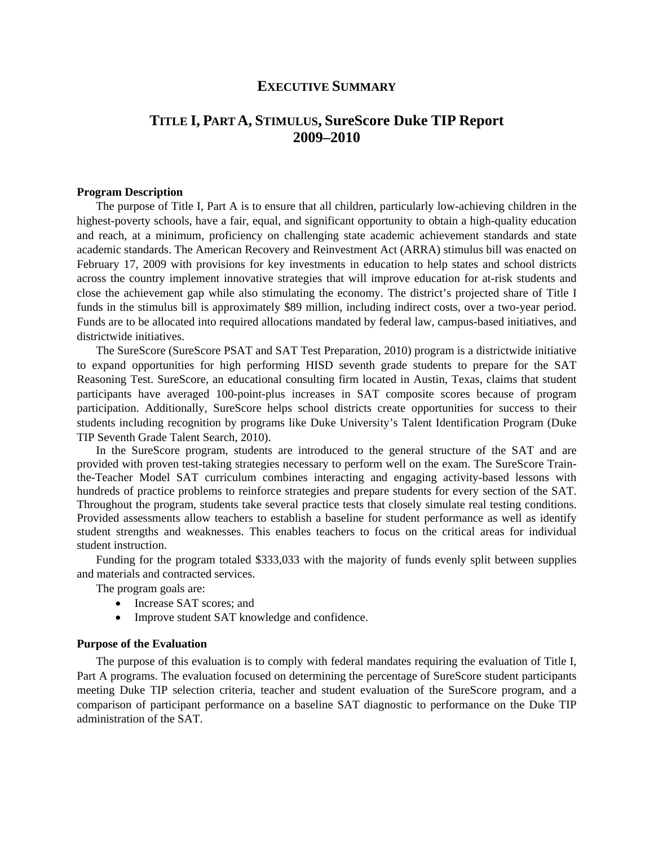# **EXECUTIVE SUMMARY**

# **TITLE I, PART A, STIMULUS, SureScore Duke TIP Report 2009–2010**

#### **Program Description**

The purpose of Title I, Part A is to ensure that all children, particularly low-achieving children in the highest-poverty schools, have a fair, equal, and significant opportunity to obtain a high-quality education and reach, at a minimum, proficiency on challenging state academic achievement standards and state academic standards. The American Recovery and Reinvestment Act (ARRA) stimulus bill was enacted on February 17, 2009 with provisions for key investments in education to help states and school districts across the country implement innovative strategies that will improve education for at-risk students and close the achievement gap while also stimulating the economy. The district's projected share of Title I funds in the stimulus bill is approximately \$89 million, including indirect costs, over a two-year period. Funds are to be allocated into required allocations mandated by federal law, campus-based initiatives, and districtwide initiatives.

The SureScore (SureScore PSAT and SAT Test Preparation, 2010) program is a districtwide initiative to expand opportunities for high performing HISD seventh grade students to prepare for the SAT Reasoning Test. SureScore, an educational consulting firm located in Austin, Texas, claims that student participants have averaged 100-point-plus increases in SAT composite scores because of program participation. Additionally, SureScore helps school districts create opportunities for success to their students including recognition by programs like Duke University's Talent Identification Program (Duke TIP Seventh Grade Talent Search, 2010).

In the SureScore program, students are introduced to the general structure of the SAT and are provided with proven test-taking strategies necessary to perform well on the exam. The SureScore Trainthe-Teacher Model SAT curriculum combines interacting and engaging activity-based lessons with hundreds of practice problems to reinforce strategies and prepare students for every section of the SAT. Throughout the program, students take several practice tests that closely simulate real testing conditions. Provided assessments allow teachers to establish a baseline for student performance as well as identify student strengths and weaknesses. This enables teachers to focus on the critical areas for individual student instruction.

Funding for the program totaled \$333,033 with the majority of funds evenly split between supplies and materials and contracted services.

The program goals are:

- Increase SAT scores; and
- Improve student SAT knowledge and confidence.

#### **Purpose of the Evaluation**

The purpose of this evaluation is to comply with federal mandates requiring the evaluation of Title I, Part A programs. The evaluation focused on determining the percentage of SureScore student participants meeting Duke TIP selection criteria, teacher and student evaluation of the SureScore program, and a comparison of participant performance on a baseline SAT diagnostic to performance on the Duke TIP administration of the SAT.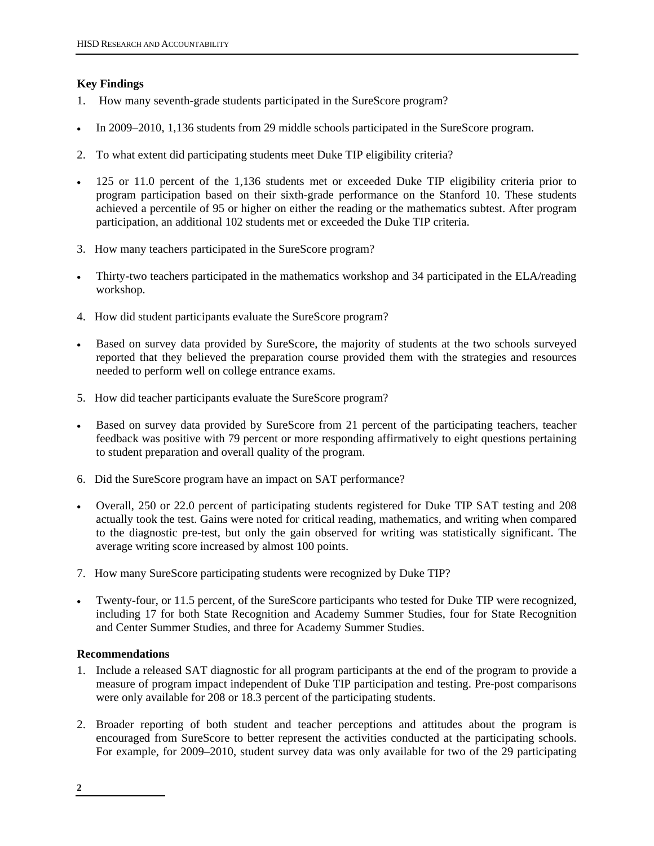# **Key Findings**

- 1. How many seventh-grade students participated in the SureScore program?
- In 2009–2010, 1,136 students from 29 middle schools participated in the SureScore program.
- 2. To what extent did participating students meet Duke TIP eligibility criteria?
- 125 or 11.0 percent of the 1,136 students met or exceeded Duke TIP eligibility criteria prior to program participation based on their sixth-grade performance on the Stanford 10. These students achieved a percentile of 95 or higher on either the reading or the mathematics subtest. After program participation, an additional 102 students met or exceeded the Duke TIP criteria.
- 3. How many teachers participated in the SureScore program?
- Thirty-two teachers participated in the mathematics workshop and 34 participated in the ELA/reading workshop.
- 4. How did student participants evaluate the SureScore program?
- Based on survey data provided by SureScore, the majority of students at the two schools surveyed reported that they believed the preparation course provided them with the strategies and resources needed to perform well on college entrance exams.
- 5. How did teacher participants evaluate the SureScore program?
- Based on survey data provided by SureScore from 21 percent of the participating teachers, teacher feedback was positive with 79 percent or more responding affirmatively to eight questions pertaining to student preparation and overall quality of the program.
- 6. Did the SureScore program have an impact on SAT performance?
- Overall, 250 or 22.0 percent of participating students registered for Duke TIP SAT testing and 208 actually took the test. Gains were noted for critical reading, mathematics, and writing when compared to the diagnostic pre-test, but only the gain observed for writing was statistically significant. The average writing score increased by almost 100 points.
- 7. How many SureScore participating students were recognized by Duke TIP?
- Twenty-four, or 11.5 percent, of the SureScore participants who tested for Duke TIP were recognized, including 17 for both State Recognition and Academy Summer Studies, four for State Recognition and Center Summer Studies, and three for Academy Summer Studies.

# **Recommendations**

- 1. Include a released SAT diagnostic for all program participants at the end of the program to provide a measure of program impact independent of Duke TIP participation and testing. Pre-post comparisons were only available for 208 or 18.3 percent of the participating students.
- 2. Broader reporting of both student and teacher perceptions and attitudes about the program is encouraged from SureScore to better represent the activities conducted at the participating schools. For example, for 2009–2010, student survey data was only available for two of the 29 participating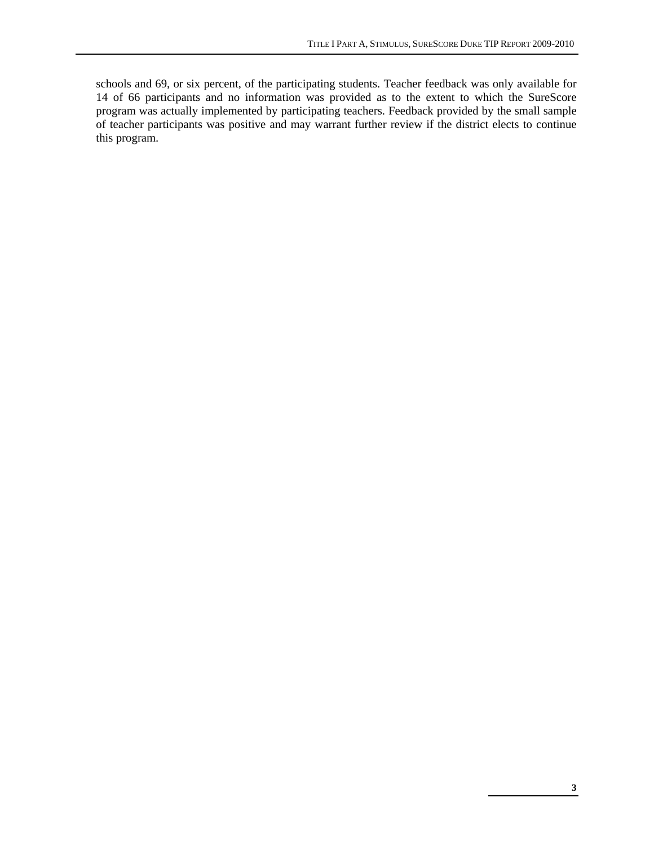schools and 69, or six percent, of the participating students. Teacher feedback was only available for 14 of 66 participants and no information was provided as to the extent to which the SureScore program was actually implemented by participating teachers. Feedback provided by the small sample of teacher participants was positive and may warrant further review if the district elects to continue this program.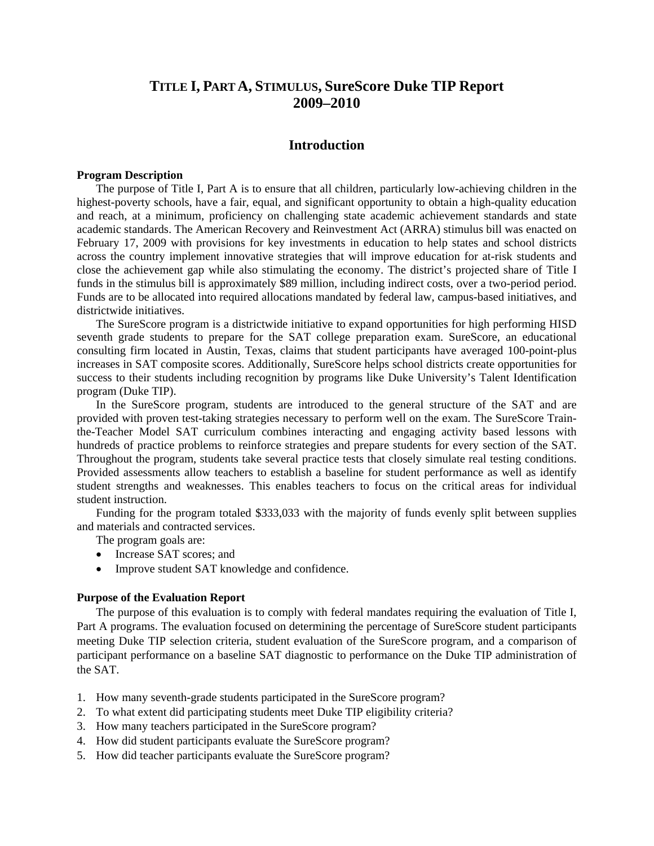# **TITLE I, PART A, STIMULUS, SureScore Duke TIP Report 2009–2010**

# **Introduction**

## **Program Description**

The purpose of Title I, Part A is to ensure that all children, particularly low-achieving children in the highest-poverty schools, have a fair, equal, and significant opportunity to obtain a high-quality education and reach, at a minimum, proficiency on challenging state academic achievement standards and state academic standards. The American Recovery and Reinvestment Act (ARRA) stimulus bill was enacted on February 17, 2009 with provisions for key investments in education to help states and school districts across the country implement innovative strategies that will improve education for at-risk students and close the achievement gap while also stimulating the economy. The district's projected share of Title I funds in the stimulus bill is approximately \$89 million, including indirect costs, over a two-period period. Funds are to be allocated into required allocations mandated by federal law, campus-based initiatives, and districtwide initiatives.

The SureScore program is a districtwide initiative to expand opportunities for high performing HISD seventh grade students to prepare for the SAT college preparation exam. SureScore, an educational consulting firm located in Austin, Texas, claims that student participants have averaged 100-point-plus increases in SAT composite scores. Additionally, SureScore helps school districts create opportunities for success to their students including recognition by programs like Duke University's Talent Identification program (Duke TIP).

In the SureScore program, students are introduced to the general structure of the SAT and are provided with proven test-taking strategies necessary to perform well on the exam. The SureScore Trainthe-Teacher Model SAT curriculum combines interacting and engaging activity based lessons with hundreds of practice problems to reinforce strategies and prepare students for every section of the SAT. Throughout the program, students take several practice tests that closely simulate real testing conditions. Provided assessments allow teachers to establish a baseline for student performance as well as identify student strengths and weaknesses. This enables teachers to focus on the critical areas for individual student instruction.

Funding for the program totaled \$333,033 with the majority of funds evenly split between supplies and materials and contracted services.

The program goals are:

- Increase SAT scores; and
- Improve student SAT knowledge and confidence.

#### **Purpose of the Evaluation Report**

The purpose of this evaluation is to comply with federal mandates requiring the evaluation of Title I, Part A programs. The evaluation focused on determining the percentage of SureScore student participants meeting Duke TIP selection criteria, student evaluation of the SureScore program, and a comparison of participant performance on a baseline SAT diagnostic to performance on the Duke TIP administration of the SAT.

- 1. How many seventh-grade students participated in the SureScore program?
- 2. To what extent did participating students meet Duke TIP eligibility criteria?
- 3. How many teachers participated in the SureScore program?
- 4. How did student participants evaluate the SureScore program?
- 5. How did teacher participants evaluate the SureScore program?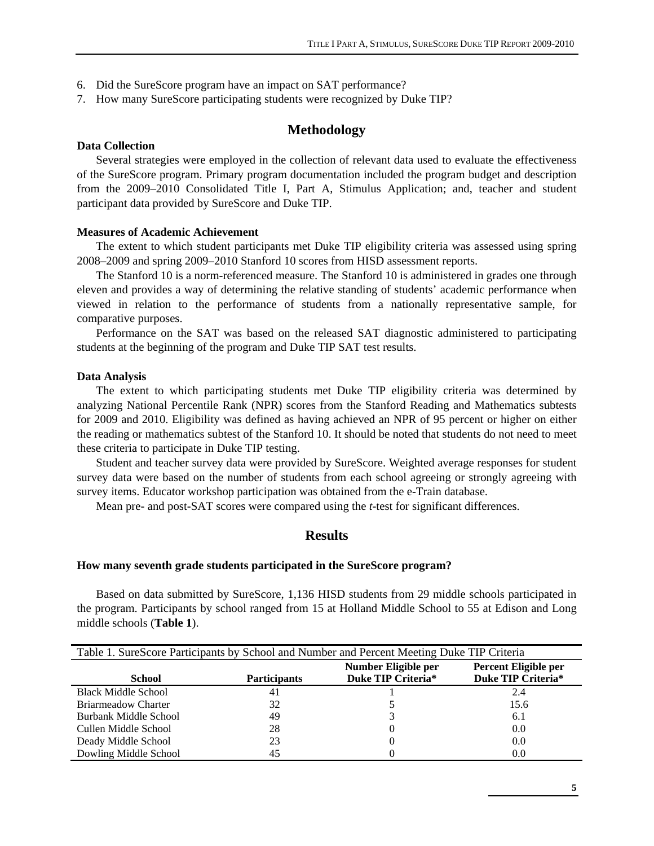- 6. Did the SureScore program have an impact on SAT performance?
- 7. How many SureScore participating students were recognized by Duke TIP?

# **Methodology**

#### **Data Collection**

Several strategies were employed in the collection of relevant data used to evaluate the effectiveness of the SureScore program. Primary program documentation included the program budget and description from the 2009–2010 Consolidated Title I, Part A, Stimulus Application; and, teacher and student participant data provided by SureScore and Duke TIP.

## **Measures of Academic Achievement**

The extent to which student participants met Duke TIP eligibility criteria was assessed using spring 2008–2009 and spring 2009–2010 Stanford 10 scores from HISD assessment reports.

The Stanford 10 is a norm-referenced measure. The Stanford 10 is administered in grades one through eleven and provides a way of determining the relative standing of students' academic performance when viewed in relation to the performance of students from a nationally representative sample, for comparative purposes.

Performance on the SAT was based on the released SAT diagnostic administered to participating students at the beginning of the program and Duke TIP SAT test results.

#### **Data Analysis**

The extent to which participating students met Duke TIP eligibility criteria was determined by analyzing National Percentile Rank (NPR) scores from the Stanford Reading and Mathematics subtests for 2009 and 2010. Eligibility was defined as having achieved an NPR of 95 percent or higher on either the reading or mathematics subtest of the Stanford 10. It should be noted that students do not need to meet these criteria to participate in Duke TIP testing.

Student and teacher survey data were provided by SureScore. Weighted average responses for student survey data were based on the number of students from each school agreeing or strongly agreeing with survey items. Educator workshop participation was obtained from the e-Train database.

Mean pre- and post-SAT scores were compared using the *t*-test for significant differences.

# **Results**

#### **How many seventh grade students participated in the SureScore program?**

Based on data submitted by SureScore, 1,136 HISD students from 29 middle schools participated in the program. Participants by school ranged from 15 at Holland Middle School to 55 at Edison and Long middle schools (**Table 1**).

| Table 1. SureScore Participants by School and Number and Percent Meeting Duke TIP Criteria |                     |                     |                      |  |
|--------------------------------------------------------------------------------------------|---------------------|---------------------|----------------------|--|
|                                                                                            |                     | Number Eligible per | Percent Eligible per |  |
| <b>School</b>                                                                              | <b>Participants</b> | Duke TIP Criteria*  | Duke TIP Criteria*   |  |
| <b>Black Middle School</b>                                                                 | 41                  |                     | 2.4                  |  |
| <b>Briarmeadow Charter</b>                                                                 | 32                  |                     | 15.6                 |  |
| Burbank Middle School                                                                      | 49                  |                     | 6.1                  |  |
| Cullen Middle School                                                                       | 28                  |                     | 0.0                  |  |
| Deady Middle School                                                                        | 23                  |                     | 0.0                  |  |
| Dowling Middle School                                                                      | 45                  |                     | 0.0                  |  |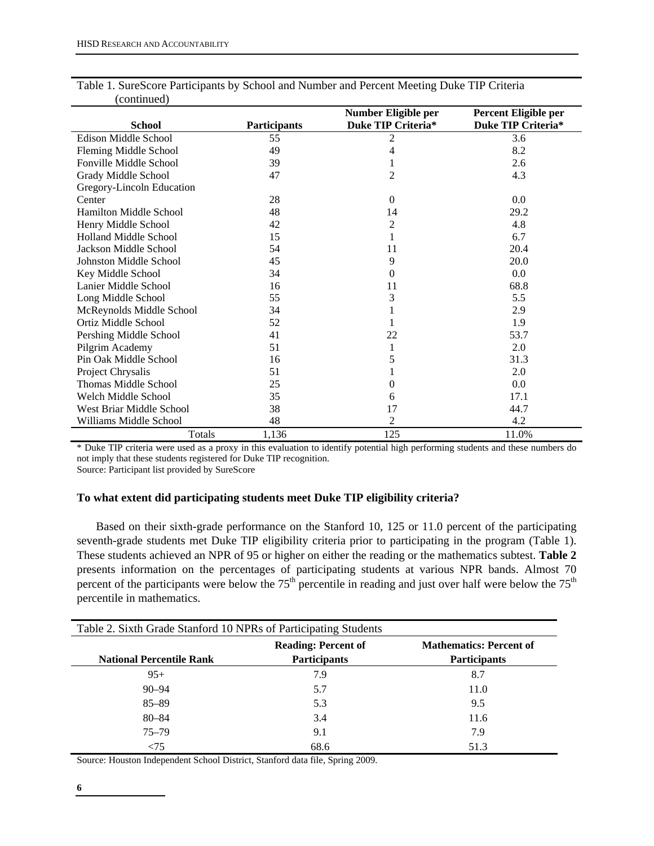|                               |                     | Number Eligible per       | Percent Eligible per |
|-------------------------------|---------------------|---------------------------|----------------------|
| <b>School</b>                 | <b>Participants</b> | <b>Duke TIP Criteria*</b> | Duke TIP Criteria*   |
| Edison Middle School          | 55                  | 2                         | 3.6                  |
| Fleming Middle School         | 49                  | 4                         | 8.2                  |
| Fonville Middle School        | 39                  | 1                         | 2.6                  |
| Grady Middle School           | 47                  | 2                         | 4.3                  |
| Gregory-Lincoln Education     |                     |                           |                      |
| Center                        | 28                  | $\Omega$                  | 0.0                  |
| <b>Hamilton Middle School</b> | 48                  | 14                        | 29.2                 |
| Henry Middle School           | 42                  | 2                         | 4.8                  |
| <b>Holland Middle School</b>  | 15                  | 1                         | 6.7                  |
| Jackson Middle School         | 54                  | 11                        | 20.4                 |
| Johnston Middle School        | 45                  | 9                         | 20.0                 |
| Key Middle School             | 34                  | 0                         | 0.0                  |
| Lanier Middle School          | 16                  | 11                        | 68.8                 |
| Long Middle School            | 55                  | 3                         | 5.5                  |
| McReynolds Middle School      | 34                  |                           | 2.9                  |
| Ortiz Middle School           | 52                  |                           | 1.9                  |
| Pershing Middle School        | 41                  | 22                        | 53.7                 |
| Pilgrim Academy               | 51                  | 1                         | 2.0                  |
| Pin Oak Middle School         | 16                  | 5                         | 31.3                 |
| Project Chrysalis             | 51                  |                           | 2.0                  |
| Thomas Middle School          | 25                  | 0                         | 0.0                  |
| Welch Middle School           | 35                  | 6                         | 17.1                 |
| West Briar Middle School      | 38                  | 17                        | 44.7                 |
| Williams Middle School        | 48                  | 2                         | 4.2                  |
| Totals                        | 1.136               | 125                       | 11.0%                |

Table 1. SureScore Participants by School and Number and Percent Meeting Duke TIP Criteria (continued)

\* Duke TIP criteria were used as a proxy in this evaluation to identify potential high performing students and these numbers do not imply that these students registered for Duke TIP recognition.

Source: Participant list provided by SureScore

## **To what extent did participating students meet Duke TIP eligibility criteria?**

Based on their sixth-grade performance on the Stanford 10, 125 or 11.0 percent of the participating seventh-grade students met Duke TIP eligibility criteria prior to participating in the program (Table 1). These students achieved an NPR of 95 or higher on either the reading or the mathematics subtest. **Table 2**  presents information on the percentages of participating students at various NPR bands. Almost 70 percent of the participants were below the  $75<sup>th</sup>$  percentile in reading and just over half were below the  $75<sup>th</sup>$ percentile in mathematics.

| Table 2. Sixth Grade Stanford 10 NPRs of Participating Students |                     |                     |  |  |
|-----------------------------------------------------------------|---------------------|---------------------|--|--|
| <b>Mathematics: Percent of</b><br><b>Reading: Percent of</b>    |                     |                     |  |  |
| <b>National Percentile Rank</b>                                 | <b>Participants</b> | <b>Participants</b> |  |  |
| $95+$                                                           | 7.9                 | 8.7                 |  |  |
| $90 - 94$                                                       | 5.7                 | 11.0                |  |  |
| $85 - 89$                                                       | 5.3                 | 9.5                 |  |  |
| $80 - 84$                                                       | 3.4                 | 11.6                |  |  |
| $75 - 79$                                                       | 9.1                 | 7.9                 |  |  |
| ${<}75$                                                         | 68.6                | 51.3                |  |  |

Source: Houston Independent School District, Stanford data file, Spring 2009.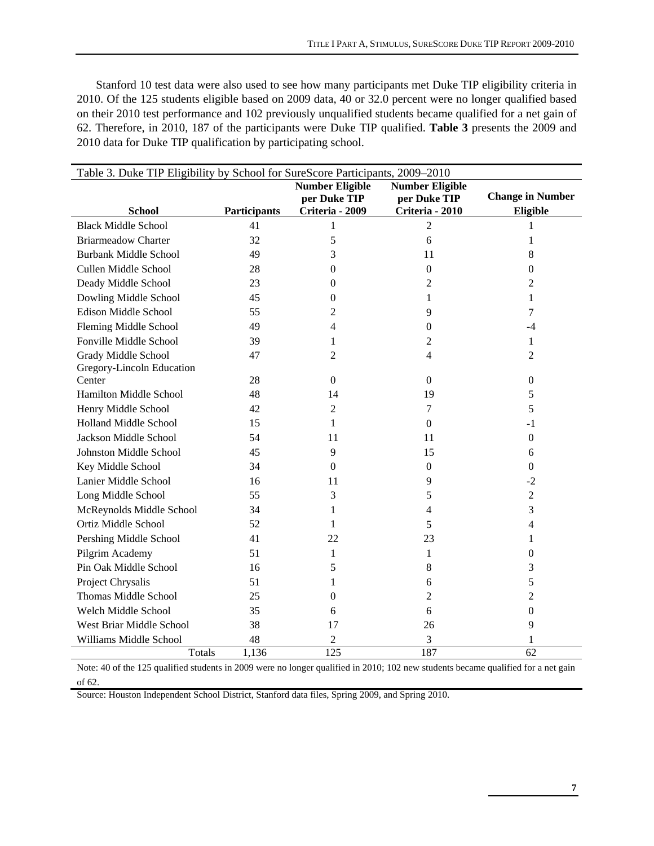Stanford 10 test data were also used to see how many participants met Duke TIP eligibility criteria in 2010. Of the 125 students eligible based on 2009 data, 40 or 32.0 percent were no longer qualified based on their 2010 test performance and 102 previously unqualified students became qualified for a net gain of 62. Therefore, in 2010, 187 of the participants were Duke TIP qualified. **Table 3** presents the 2009 and 2010 data for Duke TIP qualification by participating school.

| Table 3. Duke TIP Eligibility by School for SureScore Participants, 2009–2010 |              |                  |                  |                         |  |
|-------------------------------------------------------------------------------|--------------|------------------|------------------|-------------------------|--|
| <b>Number Eligible</b><br><b>Number Eligible</b>                              |              |                  |                  |                         |  |
|                                                                               |              | per Duke TIP     | per Duke TIP     | <b>Change in Number</b> |  |
| <b>School</b>                                                                 | Participants | Criteria - 2009  | Criteria - 2010  | Eligible                |  |
| <b>Black Middle School</b>                                                    | 41           | 1                | $\overline{2}$   |                         |  |
| <b>Briarmeadow Charter</b>                                                    | 32           | 5                | 6                | 1                       |  |
| <b>Burbank Middle School</b>                                                  | 49           | 3                | 11               | 8                       |  |
| Cullen Middle School                                                          | 28           | 0                | $\boldsymbol{0}$ | $\theta$                |  |
| Deady Middle School                                                           | 23           | 0                | 2                | 2                       |  |
| Dowling Middle School                                                         | 45           | $\mathbf{0}$     | 1                | 1                       |  |
| <b>Edison Middle School</b>                                                   | 55           | 2                | 9                | 7                       |  |
| Fleming Middle School                                                         | 49           | 4                | $\mathbf{0}$     | $-4$                    |  |
| Fonville Middle School                                                        | 39           | 1                | 2                | $\mathbf{1}$            |  |
| Grady Middle School                                                           | 47           | 2                | 4                | 2                       |  |
| Gregory-Lincoln Education                                                     |              |                  |                  |                         |  |
| Center                                                                        | 28           | $\boldsymbol{0}$ | $\boldsymbol{0}$ | $\boldsymbol{0}$        |  |
| Hamilton Middle School                                                        | 48           | 14               | 19               | 5                       |  |
| Henry Middle School                                                           | 42           | 2                | $\tau$           | 5                       |  |
| Holland Middle School                                                         | 15           | 1                | $\mathbf{0}$     | $-1$                    |  |
| Jackson Middle School                                                         | 54           | 11               | 11               | $\boldsymbol{0}$        |  |
| Johnston Middle School                                                        | 45           | 9                | 15               | 6                       |  |
| Key Middle School                                                             | 34           | $\boldsymbol{0}$ | $\boldsymbol{0}$ | $\boldsymbol{0}$        |  |
| Lanier Middle School                                                          | 16           | 11               | 9                | $-2$                    |  |
| Long Middle School                                                            | 55           | 3                | 5                | $\overline{2}$          |  |
| McReynolds Middle School                                                      | 34           | 1                | 4                | 3                       |  |
| Ortiz Middle School                                                           | 52           | 1                | 5                | $\overline{4}$          |  |
| Pershing Middle School                                                        | 41           | 22               | 23               | 1                       |  |
| Pilgrim Academy                                                               | 51           | 1                | 1                | $\overline{0}$          |  |
| Pin Oak Middle School                                                         | 16           | 5                | 8                | 3                       |  |
| Project Chrysalis                                                             | 51           | 1                | 6                | 5                       |  |
| Thomas Middle School                                                          | 25           | $\overline{0}$   | 2                | 2                       |  |
| Welch Middle School                                                           | 35           | 6                | 6                | $\boldsymbol{0}$        |  |
| West Briar Middle School                                                      | 38           | 17               | 26               | 9                       |  |
| Williams Middle School                                                        | 48           | 2                | 3                |                         |  |
| Totals                                                                        | 1,136        | 125              | 187              | 62                      |  |

Note: 40 of the 125 qualified students in 2009 were no longer qualified in 2010; 102 new students became qualified for a net gain of 62.

Source: Houston Independent School District, Stanford data files, Spring 2009, and Spring 2010.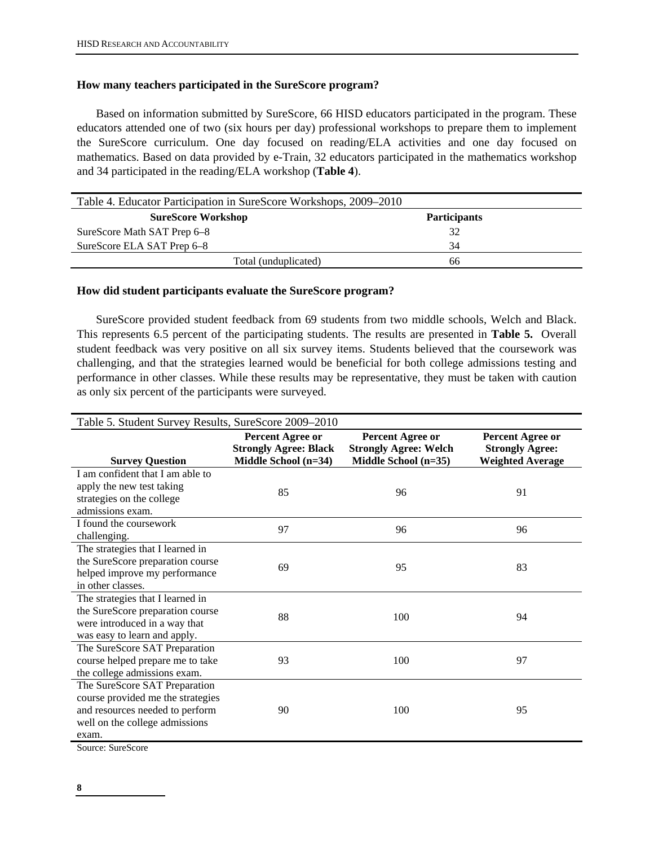# **How many teachers participated in the SureScore program?**

Based on information submitted by SureScore, 66 HISD educators participated in the program. These educators attended one of two (six hours per day) professional workshops to prepare them to implement the SureScore curriculum. One day focused on reading/ELA activities and one day focused on mathematics. Based on data provided by e-Train, 32 educators participated in the mathematics workshop and 34 participated in the reading/ELA workshop (**Table 4**).

| Table 4. Educator Participation in SureScore Workshops, 2009–2010 |                     |  |  |
|-------------------------------------------------------------------|---------------------|--|--|
| <b>SureScore Workshop</b>                                         | <b>Participants</b> |  |  |
| SureScore Math SAT Prep 6–8                                       | 32                  |  |  |
| SureScore ELA SAT Prep 6–8                                        | 34                  |  |  |
| Total (unduplicated)                                              | 66                  |  |  |

## **How did student participants evaluate the SureScore program?**

SureScore provided student feedback from 69 students from two middle schools, Welch and Black. This represents 6.5 percent of the participating students. The results are presented in **Table 5.** Overall student feedback was very positive on all six survey items. Students believed that the coursework was challenging, and that the strategies learned would be beneficial for both college admissions testing and performance in other classes. While these results may be representative, they must be taken with caution as only six percent of the participants were surveyed.

| Table 5. Student Survey Results, SureScore 2009-2010          |                                                                                   |                                                                          |                                                                       |  |
|---------------------------------------------------------------|-----------------------------------------------------------------------------------|--------------------------------------------------------------------------|-----------------------------------------------------------------------|--|
| <b>Survey Question</b>                                        | <b>Percent Agree or</b><br><b>Strongly Agree: Black</b><br>Middle School $(n=34)$ | Percent Agree or<br><b>Strongly Agree: Welch</b><br>Middle School (n=35) | Percent Agree or<br><b>Strongly Agree:</b><br><b>Weighted Average</b> |  |
| I am confident that I am able to<br>apply the new test taking | 85                                                                                | 96                                                                       |                                                                       |  |
| strategies on the college<br>admissions exam.                 |                                                                                   |                                                                          | 91                                                                    |  |
| I found the coursework<br>challenging.                        | 97                                                                                | 96                                                                       | 96                                                                    |  |
| The strategies that I learned in                              |                                                                                   |                                                                          |                                                                       |  |
| the SureScore preparation course                              | 69                                                                                | 95                                                                       | 83                                                                    |  |
| helped improve my performance                                 |                                                                                   |                                                                          |                                                                       |  |
| in other classes.                                             |                                                                                   |                                                                          |                                                                       |  |
| The strategies that I learned in                              |                                                                                   |                                                                          |                                                                       |  |
| the SureScore preparation course                              | 88                                                                                | 100                                                                      | 94                                                                    |  |
| were introduced in a way that                                 |                                                                                   |                                                                          |                                                                       |  |
| was easy to learn and apply.                                  |                                                                                   |                                                                          |                                                                       |  |
| The SureScore SAT Preparation                                 |                                                                                   |                                                                          |                                                                       |  |
| course helped prepare me to take                              | 93                                                                                | 100                                                                      | 97                                                                    |  |
| the college admissions exam.                                  |                                                                                   |                                                                          |                                                                       |  |
| The SureScore SAT Preparation                                 |                                                                                   |                                                                          |                                                                       |  |
| course provided me the strategies                             |                                                                                   |                                                                          |                                                                       |  |
| and resources needed to perform                               | 90                                                                                | 100                                                                      | 95                                                                    |  |
| well on the college admissions                                |                                                                                   |                                                                          |                                                                       |  |
| exam.                                                         |                                                                                   |                                                                          |                                                                       |  |

Source: SureScore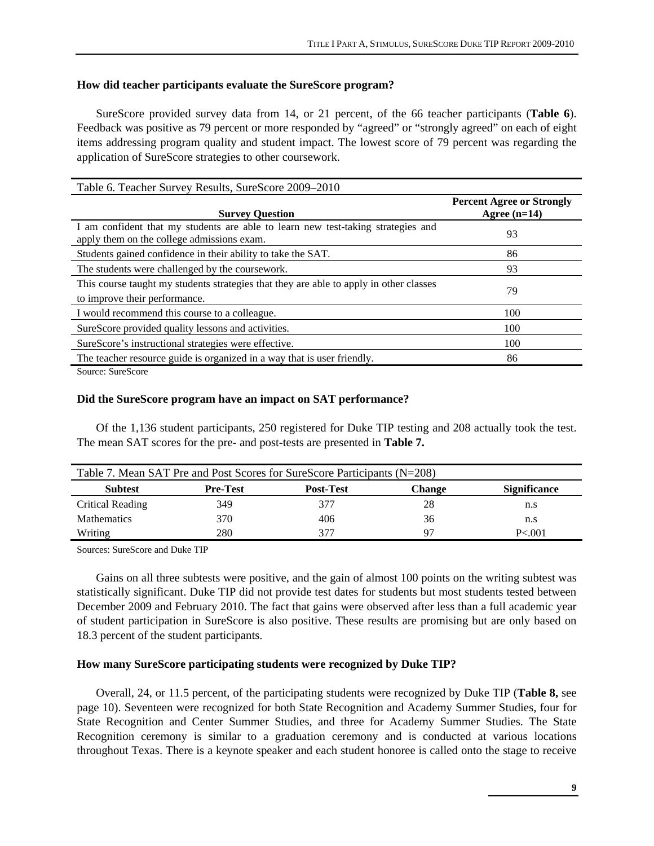# **How did teacher participants evaluate the SureScore program?**

SureScore provided survey data from 14, or 21 percent, of the 66 teacher participants (**Table 6**). Feedback was positive as 79 percent or more responded by "agreed" or "strongly agreed" on each of eight items addressing program quality and student impact. The lowest score of 79 percent was regarding the application of SureScore strategies to other coursework.

| Table 6. Teacher Survey Results, SureScore 2009–2010                                                                           |                                                    |
|--------------------------------------------------------------------------------------------------------------------------------|----------------------------------------------------|
| <b>Survey Question</b>                                                                                                         | <b>Percent Agree or Strongly</b><br>Agree $(n=14)$ |
| I am confident that my students are able to learn new test-taking strategies and<br>apply them on the college admissions exam. | 93                                                 |
| Students gained confidence in their ability to take the SAT.                                                                   | 86                                                 |
| The students were challenged by the coursework.                                                                                | 93                                                 |
| This course taught my students strategies that they are able to apply in other classes<br>to improve their performance.        | 79                                                 |
| I would recommend this course to a colleague.                                                                                  | 100                                                |
| SureScore provided quality lessons and activities.                                                                             | 100                                                |
| SureScore's instructional strategies were effective.                                                                           | 100                                                |
| The teacher resource guide is organized in a way that is user friendly.                                                        | 86                                                 |
| $SOure2$ , $S11re2ce1$                                                                                                         |                                                    |

Source: SureScore

## **Did the SureScore program have an impact on SAT performance?**

Of the 1,136 student participants, 250 registered for Duke TIP testing and 208 actually took the test. The mean SAT scores for the pre- and post-tests are presented in **Table 7.** 

| Table 7. Mean SAT Pre and Post Scores for SureScore Participants (N=208) |                 |                   |        |                     |
|--------------------------------------------------------------------------|-----------------|-------------------|--------|---------------------|
| <b>Subtest</b>                                                           | <b>Pre-Test</b> | <b>Post-Test</b>  | Change | <b>Significance</b> |
| Critical Reading                                                         | 349             | 377               | 28     | n.s                 |
| <b>Mathematics</b>                                                       | 370             | 406               | 36     | n.s                 |
| Writing                                                                  | 280             | $\sim$ 1 $\prime$ | 97     | P < 0.01            |

Sources: SureScore and Duke TIP

Gains on all three subtests were positive, and the gain of almost 100 points on the writing subtest was statistically significant. Duke TIP did not provide test dates for students but most students tested between December 2009 and February 2010. The fact that gains were observed after less than a full academic year of student participation in SureScore is also positive. These results are promising but are only based on 18.3 percent of the student participants.

## **How many SureScore participating students were recognized by Duke TIP?**

Overall, 24, or 11.5 percent, of the participating students were recognized by Duke TIP (**Table 8,** see page 10). Seventeen were recognized for both State Recognition and Academy Summer Studies, four for State Recognition and Center Summer Studies, and three for Academy Summer Studies. The State Recognition ceremony is similar to a graduation ceremony and is conducted at various locations throughout Texas. There is a keynote speaker and each student honoree is called onto the stage to receive